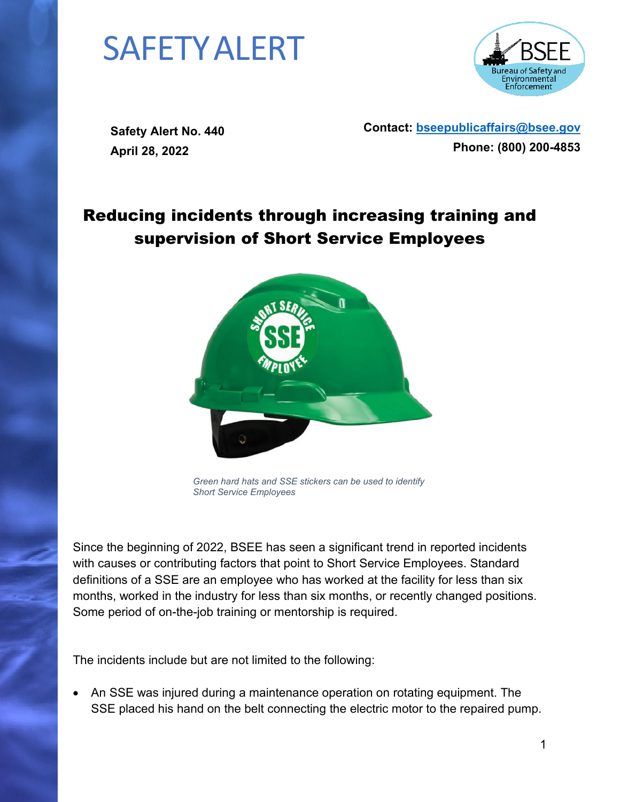## SAFETYALERT



**Safety Alert No. 440 April 28, 2022**

**Contact: [bseepublicaffairs@bsee.gov](mailto:bseepublicaffairs@bsee.gov) Phone: (800) 200-4853**

## Reducing incidents through increasing training and supervision of Short Service Employees



*Green hard hats and SSE stickers can be used to identify Short Service Employees*

Since the beginning of 2022, BSEE has seen a significant trend in reported incidents with causes or contributing factors that point to Short Service Employees. Standard definitions of a SSE are an employee who has worked at the facility for less than six months, worked in the industry for less than six months, or recently changed positions. Some period of on-the-job training or mentorship is required.

The incidents include but are not limited to the following:

• An SSE was injured during a maintenance operation on rotating equipment. The SSE placed his hand on the belt connecting the electric motor to the repaired pump.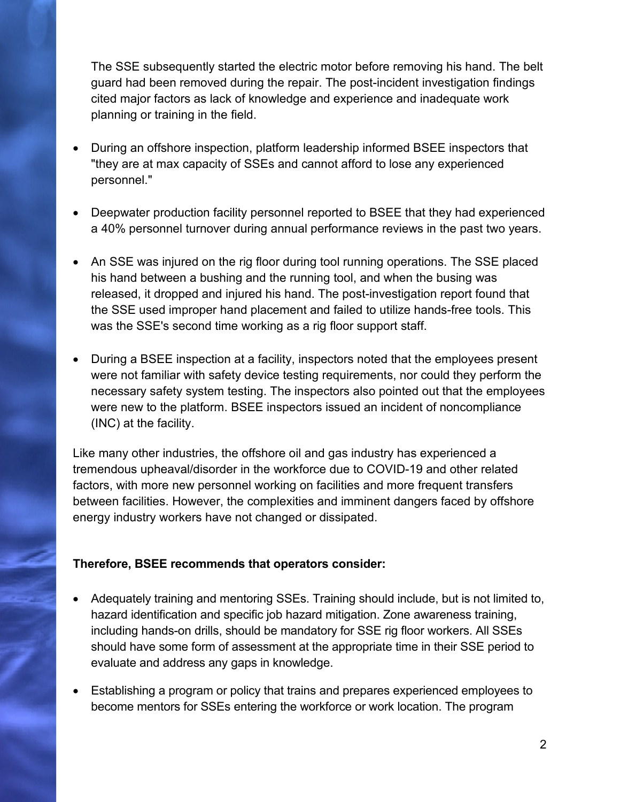The SSE subsequently started the electric motor before removing his hand. The belt guard had been removed during the repair. The post-incident investigation findings cited major factors as lack of knowledge and experience and inadequate work planning or training in the field.

- During an offshore inspection, platform leadership informed BSEE inspectors that "they are at max capacity of SSEs and cannot afford to lose any experienced personnel."
- Deepwater production facility personnel reported to BSEE that they had experienced a 40% personnel turnover during annual performance reviews in the past two years.
- An SSE was injured on the rig floor during tool running operations. The SSE placed his hand between a bushing and the running tool, and when the busing was released, it dropped and injured his hand. The post-investigation report found that the SSE used improper hand placement and failed to utilize hands-free tools. This was the SSE's second time working as a rig floor support staff.
- During a BSEE inspection at a facility, inspectors noted that the employees present were not familiar with safety device testing requirements, nor could they perform the necessary safety system testing. The inspectors also pointed out that the employees were new to the platform. BSEE inspectors issued an incident of noncompliance (INC) at the facility.

Like many other industries, the offshore oil and gas industry has experienced a tremendous upheaval/disorder in the workforce due to COVID-19 and other related factors, with more new personnel working on facilities and more frequent transfers between facilities. However, the complexities and imminent dangers faced by offshore energy industry workers have not changed or dissipated.

## **Therefore, BSEE recommends that operators consider:**

- Adequately training and mentoring SSEs. Training should include, but is not limited to, hazard identification and specific job hazard mitigation. Zone awareness training, including hands-on drills, should be mandatory for SSE rig floor workers. All SSEs should have some form of assessment at the appropriate time in their SSE period to evaluate and address any gaps in knowledge.
- Establishing a program or policy that trains and prepares experienced employees to become mentors for SSEs entering the workforce or work location. The program